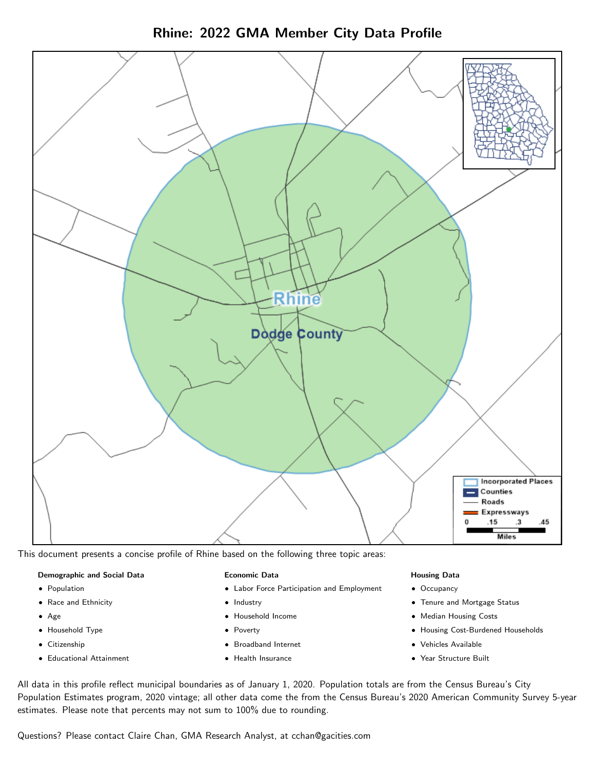

Rhine: 2022 GMA Member City Data Profile

This document presents a concise profile of Rhine based on the following three topic areas:

# Demographic and Social Data

- **•** Population
- Race and Ethnicity
- Age
- Household Type
- **Citizenship**
- Educational Attainment

# Economic Data

- Labor Force Participation and Employment
- Industry
- Household Income
- Poverty
- Broadband Internet
- Health Insurance

# Housing Data

- Occupancy
- Tenure and Mortgage Status
- Median Housing Costs
- Housing Cost-Burdened Households
- Vehicles Available
- Year Structure Built

All data in this profile reflect municipal boundaries as of January 1, 2020. Population totals are from the Census Bureau's City Population Estimates program, 2020 vintage; all other data come the from the Census Bureau's 2020 American Community Survey 5-year estimates. Please note that percents may not sum to 100% due to rounding.

Questions? Please contact Claire Chan, GMA Research Analyst, at [cchan@gacities.com.](mailto:cchan@gacities.com)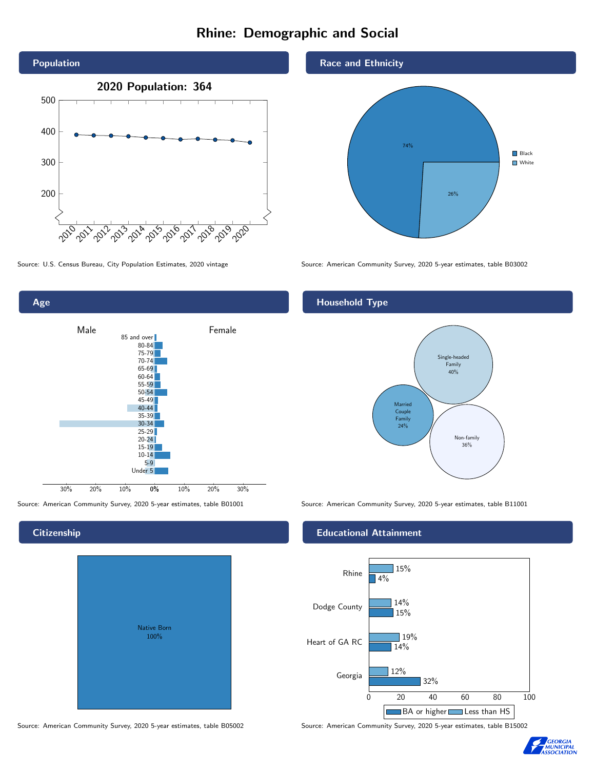# Rhine: Demographic and Social





**Citizenship** 

# Native Born 100%

Race and Ethnicity



Source: U.S. Census Bureau, City Population Estimates, 2020 vintage Source: American Community Survey, 2020 5-year estimates, table B03002

# Household Type



Source: American Community Survey, 2020 5-year estimates, table B01001 Source: American Community Survey, 2020 5-year estimates, table B11001

# Educational Attainment



Source: American Community Survey, 2020 5-year estimates, table B05002 Source: American Community Survey, 2020 5-year estimates, table B15002

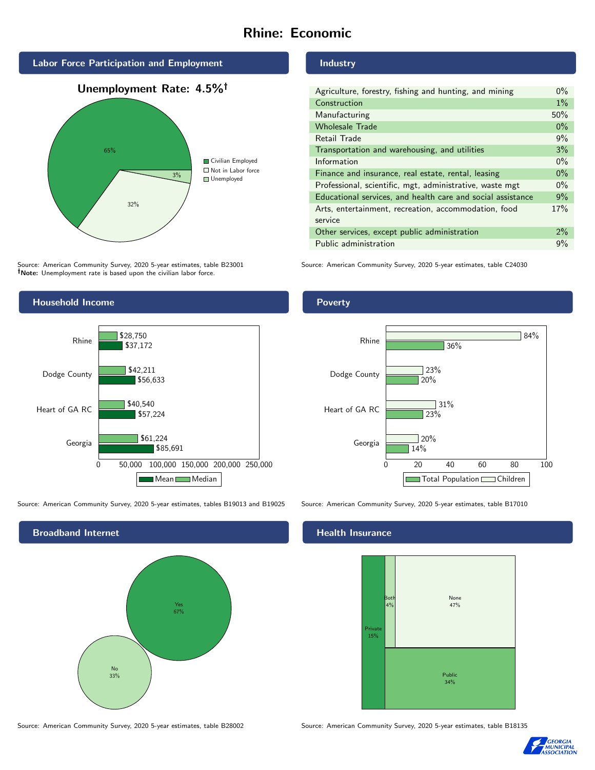# Rhine: Economic







Source: American Community Survey, 2020 5-year estimates, table B23001 Note: Unemployment rate is based upon the civilian labor force.



Industry

| Manufacturing                                               | 50%   |
|-------------------------------------------------------------|-------|
| <b>Wholesale Trade</b>                                      | 0%    |
| Retail Trade                                                | 9%    |
| Transportation and warehousing, and utilities               | 3%    |
| Information                                                 | $0\%$ |
| Finance and insurance, real estate, rental, leasing         | $0\%$ |
| Professional, scientific, mgt, administrative, waste mgt    | $0\%$ |
| Educational services, and health care and social assistance | 9%    |
| Arts, entertainment, recreation, accommodation, food        | 17%   |
| service                                                     |       |
| Other services, except public administration                | 2%    |
| Public administration                                       | 9%    |

Agriculture, forestry, fishing and hunting, and mining 0%

Source: American Community Survey, 2020 5-year estimates, table C24030



Source: American Community Survey, 2020 5-year estimates, tables B19013 and B19025 Source: American Community Survey, 2020 5-year estimates, table B17010



# Health Insurance



Source: American Community Survey, 2020 5-year estimates, table B28002 Source: American Community Survey, 2020 5-year estimates, table B18135